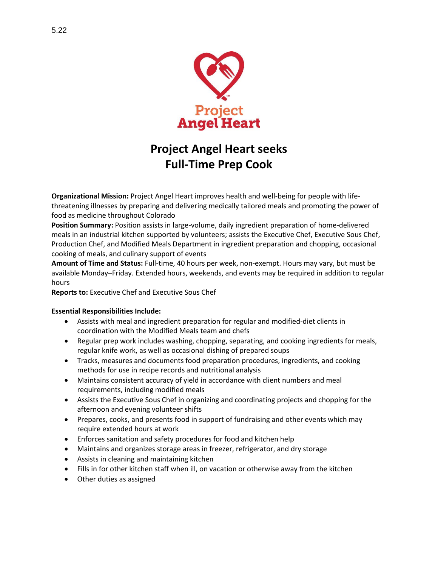

# **Project Angel Heart seeks Full-Time Prep Cook**

**Organizational Mission:** Project Angel Heart improves health and well-being for people with lifethreatening illnesses by preparing and delivering medically tailored meals and promoting the power of food as medicine throughout Colorado

**Position Summary:** Position assists in large-volume, daily ingredient preparation of home-delivered meals in an industrial kitchen supported by volunteers; assists the Executive Chef, Executive Sous Chef, Production Chef, and Modified Meals Department in ingredient preparation and chopping, occasional cooking of meals, and culinary support of events

**Amount of Time and Status:** Full-time, 40 hours per week, non-exempt. Hours may vary, but must be available Monday–Friday. Extended hours, weekends, and events may be required in addition to regular hours

**Reports to:** Executive Chef and Executive Sous Chef

#### **Essential Responsibilities Include:**

- Assists with meal and ingredient preparation for regular and modified-diet clients in coordination with the Modified Meals team and chefs
- Regular prep work includes washing, chopping, separating, and cooking ingredients for meals, regular knife work, as well as occasional dishing of prepared soups
- Tracks, measures and documents food preparation procedures, ingredients, and cooking methods for use in recipe records and nutritional analysis
- Maintains consistent accuracy of yield in accordance with client numbers and meal requirements, including modified meals
- Assists the Executive Sous Chef in organizing and coordinating projects and chopping for the afternoon and evening volunteer shifts
- Prepares, cooks, and presents food in support of fundraising and other events which may require extended hours at work
- Enforces sanitation and safety procedures for food and kitchen help
- Maintains and organizes storage areas in freezer, refrigerator, and dry storage
- Assists in cleaning and maintaining kitchen
- Fills in for other kitchen staff when ill, on vacation or otherwise away from the kitchen
- Other duties as assigned